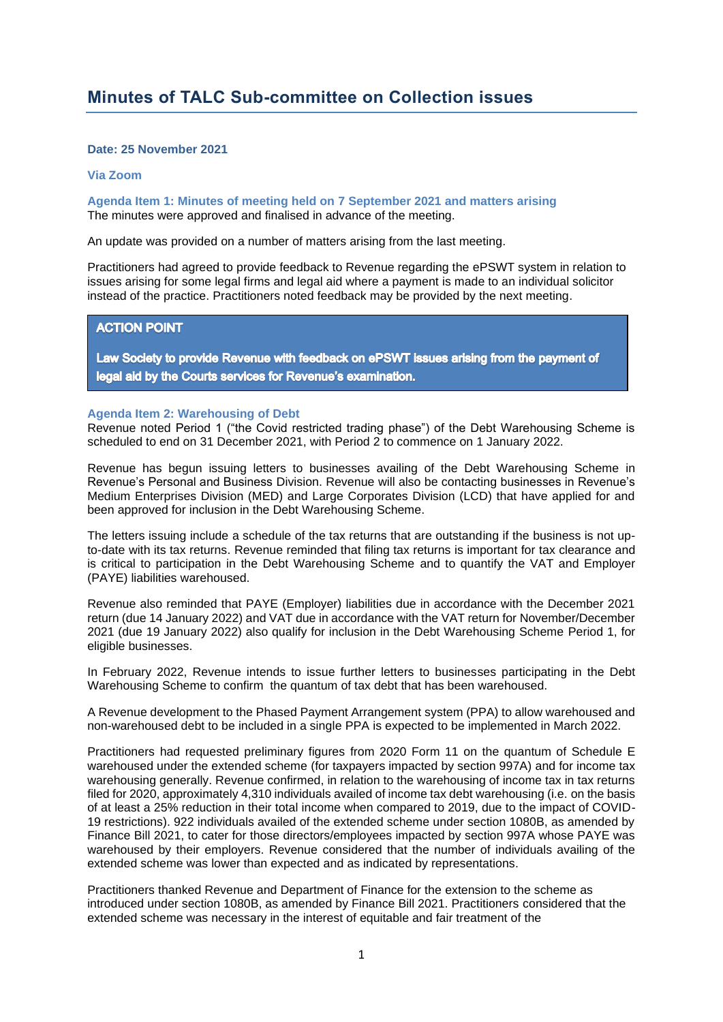## **Date: 25 November 2021**

## **Via Zoom**

**Agenda Item 1: Minutes of meeting held on 7 September 2021 and matters arising** The minutes were approved and finalised in advance of the meeting.

An update was provided on a number of matters arising from the last meeting.

Practitioners had agreed to provide feedback to Revenue regarding the ePSWT system in relation to issues arising for some legal firms and legal aid where a payment is made to an individual solicitor instead of the practice. Practitioners noted feedback may be provided by the next meeting.

## **ACTION POINT**

Law Society to provide Revenue with feedback on ePSWT issues arising from the payment of legal aid by the Courts services for Revenue's examination.

## **Agenda Item 2: Warehousing of Debt**

Revenue noted Period 1 ("the Covid restricted trading phase") of the Debt Warehousing Scheme is scheduled to end on 31 December 2021, with Period 2 to commence on 1 January 2022.

Revenue has begun issuing letters to businesses availing of the Debt Warehousing Scheme in Revenue's Personal and Business Division. Revenue will also be contacting businesses in Revenue's Medium Enterprises Division (MED) and Large Corporates Division (LCD) that have applied for and been approved for inclusion in the Debt Warehousing Scheme.

The letters issuing include a schedule of the tax returns that are outstanding if the business is not upto-date with its tax returns. Revenue reminded that filing tax returns is important for tax clearance and is critical to participation in the Debt Warehousing Scheme and to quantify the VAT and Employer (PAYE) liabilities warehoused.

Revenue also reminded that PAYE (Employer) liabilities due in accordance with the December 2021 return (due 14 January 2022) and VAT due in accordance with the VAT return for November/December 2021 (due 19 January 2022) also qualify for inclusion in the Debt Warehousing Scheme Period 1, for eligible businesses.

In February 2022, Revenue intends to issue further letters to businesses participating in the Debt Warehousing Scheme to confirm the quantum of tax debt that has been warehoused.

A Revenue development to the Phased Payment Arrangement system (PPA) to allow warehoused and non-warehoused debt to be included in a single PPA is expected to be implemented in March 2022.

Practitioners had requested preliminary figures from 2020 Form 11 on the quantum of Schedule E warehoused under the extended scheme (for taxpayers impacted by section 997A) and for income tax warehousing generally. Revenue confirmed, in relation to the warehousing of income tax in tax returns filed for 2020, approximately 4,310 individuals availed of income tax debt warehousing (i.e. on the basis of at least a 25% reduction in their total income when compared to 2019, due to the impact of COVID-19 restrictions). 922 individuals availed of the extended scheme under section 1080B, as amended by Finance Bill 2021, to cater for those directors/employees impacted by section 997A whose PAYE was warehoused by their employers. Revenue considered that the number of individuals availing of the extended scheme was lower than expected and as indicated by representations.

Practitioners thanked Revenue and Department of Finance for the extension to the scheme as introduced under section 1080B, as amended by Finance Bill 2021. Practitioners considered that the extended scheme was necessary in the interest of equitable and fair treatment of the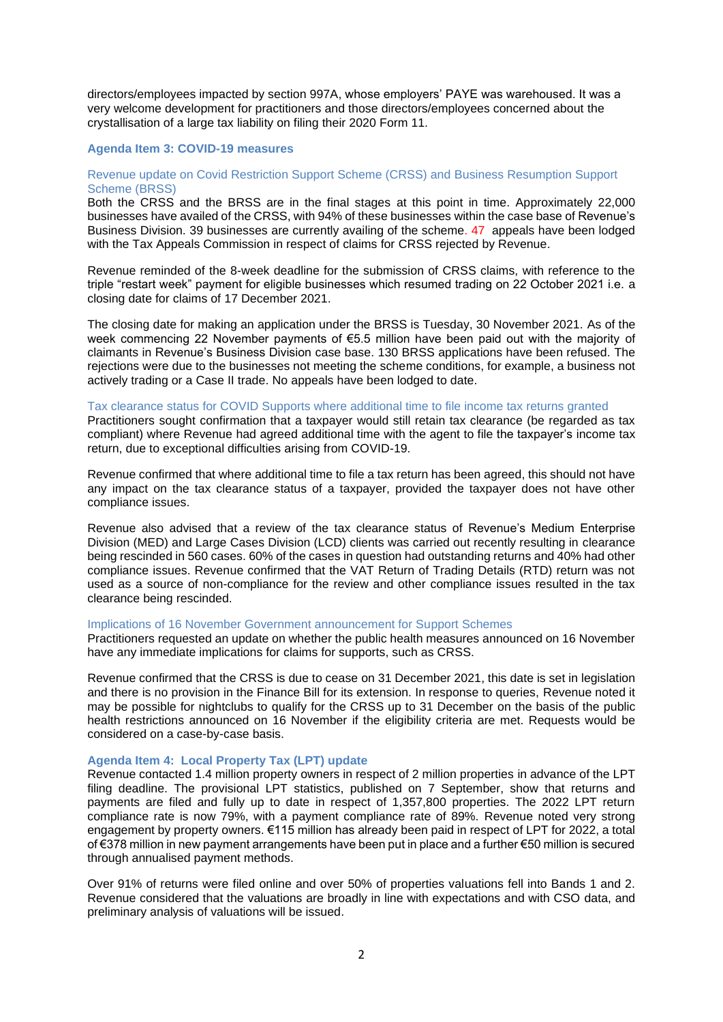directors/employees impacted by section 997A, whose employers' PAYE was warehoused. It was a very welcome development for practitioners and those directors/employees concerned about the crystallisation of a large tax liability on filing their 2020 Form 11.

### **Agenda Item 3: COVID-19 measures**

## Revenue update on Covid Restriction Support Scheme (CRSS) and Business Resumption Support Scheme (BRSS)

Both the CRSS and the BRSS are in the final stages at this point in time. Approximately 22,000 businesses have availed of the CRSS, with 94% of these businesses within the case base of Revenue's Business Division. 39 businesses are currently availing of the scheme. 47 appeals have been lodged with the Tax Appeals Commission in respect of claims for CRSS rejected by Revenue.

Revenue reminded of the 8-week deadline for the submission of CRSS claims, with reference to the triple "restart week" payment for eligible businesses which resumed trading on 22 October 2021 i.e. a closing date for claims of 17 December 2021.

The closing date for making an application under the BRSS is Tuesday, 30 November 2021. As of the week commencing 22 November payments of €5.5 million have been paid out with the majority of claimants in Revenue's Business Division case base. 130 BRSS applications have been refused. The rejections were due to the businesses not meeting the scheme conditions, for example, a business not actively trading or a Case II trade. No appeals have been lodged to date.

## Tax clearance status for COVID Supports where additional time to file income tax returns granted

Practitioners sought confirmation that a taxpayer would still retain tax clearance (be regarded as tax compliant) where Revenue had agreed additional time with the agent to file the taxpayer's income tax return, due to exceptional difficulties arising from COVID-19.

Revenue confirmed that where additional time to file a tax return has been agreed, this should not have any impact on the tax clearance status of a taxpayer, provided the taxpayer does not have other compliance issues.

Revenue also advised that a review of the tax clearance status of Revenue's Medium Enterprise Division (MED) and Large Cases Division (LCD) clients was carried out recently resulting in clearance being rescinded in 560 cases. 60% of the cases in question had outstanding returns and 40% had other compliance issues. Revenue confirmed that the VAT Return of Trading Details (RTD) return was not used as a source of non-compliance for the review and other compliance issues resulted in the tax clearance being rescinded.

#### Implications of 16 November Government announcement for Support Schemes

Practitioners requested an update on whether the public health measures announced on 16 November have any immediate implications for claims for supports, such as CRSS.

Revenue confirmed that the CRSS is due to cease on 31 December 2021, this date is set in legislation and there is no provision in the Finance Bill for its extension. In response to queries, Revenue noted it may be possible for nightclubs to qualify for the CRSS up to 31 December on the basis of the public health restrictions announced on 16 November if the eligibility criteria are met. Requests would be considered on a case-by-case basis.

## **Agenda Item 4: Local Property Tax (LPT) update**

Revenue contacted 1.4 million property owners in respect of 2 million properties in advance of the LPT filing deadline. The provisional LPT statistics, published on 7 September, show that returns and payments are filed and fully up to date in respect of 1,357,800 properties. The 2022 LPT return compliance rate is now 79%, with a payment compliance rate of 89%. Revenue noted very strong engagement by property owners. €115 million has already been paid in respect of LPT for 2022, a total of €378 million in new payment arrangements have been put in place and a further €50 million is secured through annualised payment methods.

Over 91% of returns were filed online and over 50% of properties valuations fell into Bands 1 and 2. Revenue considered that the valuations are broadly in line with expectations and with CSO data, and preliminary analysis of valuations will be issued.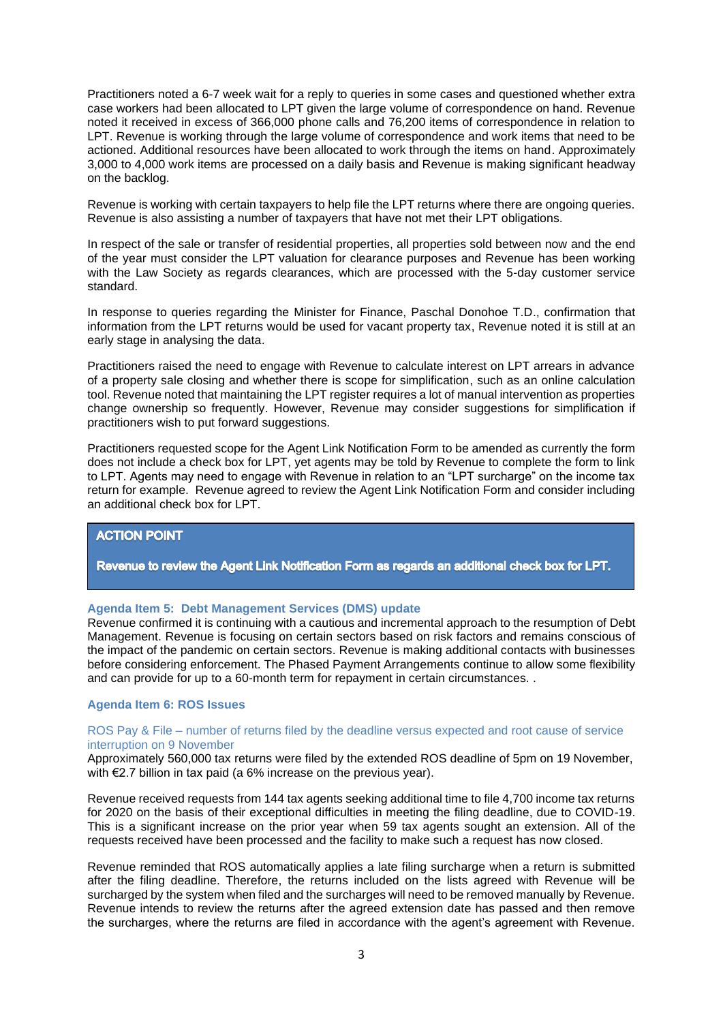Practitioners noted a 6-7 week wait for a reply to queries in some cases and questioned whether extra case workers had been allocated to LPT given the large volume of correspondence on hand. Revenue noted it received in excess of 366,000 phone calls and 76,200 items of correspondence in relation to LPT. Revenue is working through the large volume of correspondence and work items that need to be actioned. Additional resources have been allocated to work through the items on hand. Approximately 3,000 to 4,000 work items are processed on a daily basis and Revenue is making significant headway on the backlog.

Revenue is working with certain taxpayers to help file the LPT returns where there are ongoing queries. Revenue is also assisting a number of taxpayers that have not met their LPT obligations.

In respect of the sale or transfer of residential properties, all properties sold between now and the end of the year must consider the LPT valuation for clearance purposes and Revenue has been working with the Law Society as regards clearances, which are processed with the 5-day customer service standard.

In response to queries regarding the Minister for Finance, Paschal Donohoe T.D., confirmation that information from the LPT returns would be used for vacant property tax, Revenue noted it is still at an early stage in analysing the data.

Practitioners raised the need to engage with Revenue to calculate interest on LPT arrears in advance of a property sale closing and whether there is scope for simplification, such as an online calculation tool. Revenue noted that maintaining the LPT register requires a lot of manual intervention as properties change ownership so frequently. However, Revenue may consider suggestions for simplification if practitioners wish to put forward suggestions.

Practitioners requested scope for the Agent Link Notification Form to be amended as currently the form does not include a check box for LPT, yet agents may be told by Revenue to complete the form to link to LPT. Agents may need to engage with Revenue in relation to an "LPT surcharge" on the income tax return for example. Revenue agreed to review the Agent Link Notification Form and consider including an additional check box for LPT.

# **ACTION POINT**

Revenue to review the Agent Link Notification Form as regards an additional check box for LPT.

## **Agenda Item 5: Debt Management Services (DMS) update**

Revenue confirmed it is continuing with a cautious and incremental approach to the resumption of Debt Management. Revenue is focusing on certain sectors based on risk factors and remains conscious of the impact of the pandemic on certain sectors. Revenue is making additional contacts with businesses before considering enforcement. The Phased Payment Arrangements continue to allow some flexibility and can provide for up to a 60-month term for repayment in certain circumstances. .

## **Agenda Item 6: ROS Issues**

## ROS Pay & File – number of returns filed by the deadline versus expected and root cause of service interruption on 9 November

Approximately 560,000 tax returns were filed by the extended ROS deadline of 5pm on 19 November, with €2.7 billion in tax paid (a 6% increase on the previous year).

Revenue received requests from 144 tax agents seeking additional time to file 4,700 income tax returns for 2020 on the basis of their exceptional difficulties in meeting the filing deadline, due to COVID-19. This is a significant increase on the prior year when 59 tax agents sought an extension. All of the requests received have been processed and the facility to make such a request has now closed.

Revenue reminded that ROS automatically applies a late filing surcharge when a return is submitted after the filing deadline. Therefore, the returns included on the lists agreed with Revenue will be surcharged by the system when filed and the surcharges will need to be removed manually by Revenue. Revenue intends to review the returns after the agreed extension date has passed and then remove the surcharges, where the returns are filed in accordance with the agent's agreement with Revenue.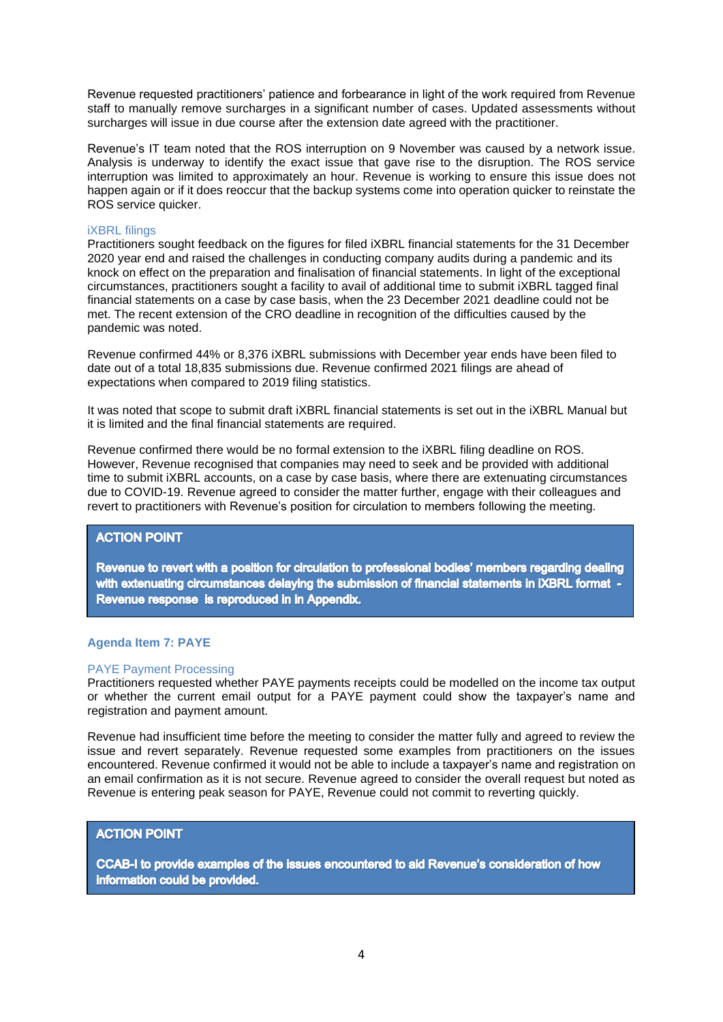Revenue requested practitioners' patience and forbearance in light of the work required from Revenue staff to manually remove surcharges in a significant number of cases. Updated assessments without surcharges will issue in due course after the extension date agreed with the practitioner.

Revenue's IT team noted that the ROS interruption on 9 November was caused by a network issue. Analysis is underway to identify the exact issue that gave rise to the disruption. The ROS service interruption was limited to approximately an hour. Revenue is working to ensure this issue does not happen again or if it does reoccur that the backup systems come into operation quicker to reinstate the ROS service quicker.

## iXBRL filings

Practitioners sought feedback on the figures for filed iXBRL financial statements for the 31 December 2020 year end and raised the challenges in conducting company audits during a pandemic and its knock on effect on the preparation and finalisation of financial statements. In light of the exceptional circumstances, practitioners sought a facility to avail of additional time to submit iXBRL tagged final financial statements on a case by case basis, when the 23 December 2021 deadline could not be met. The recent extension of the CRO deadline in recognition of the difficulties caused by the pandemic was noted.

Revenue confirmed 44% or 8,376 iXBRL submissions with December year ends have been filed to date out of a total 18,835 submissions due. Revenue confirmed 2021 filings are ahead of expectations when compared to 2019 filing statistics.

It was noted that scope to submit draft iXBRL financial statements is set out in the iXBRL Manual but it is limited and the final financial statements are required.

Revenue confirmed there would be no formal extension to the iXBRL filing deadline on ROS. However, Revenue recognised that companies may need to seek and be provided with additional time to submit iXBRL accounts, on a case by case basis, where there are extenuating circumstances due to COVID-19. Revenue agreed to consider the matter further, engage with their colleagues and revert to practitioners with Revenue's position for circulation to members following the meeting.

# **ACTION POINT**

Revenue to revert with a position for circulation to professional bodies' members regarding dealing with extenuating circumstances delaying the submission of financial statements in IXBRL format -Revenue response is reproduced in in Appendix.

## **Agenda Item 7: PAYE**

## PAYE Payment Processing

Practitioners requested whether PAYE payments receipts could be modelled on the income tax output or whether the current email output for a PAYE payment could show the taxpayer's name and registration and payment amount.

Revenue had insufficient time before the meeting to consider the matter fully and agreed to review the issue and revert separately. Revenue requested some examples from practitioners on the issues encountered. Revenue confirmed it would not be able to include a taxpayer's name and registration on an email confirmation as it is not secure. Revenue agreed to consider the overall request but noted as Revenue is entering peak season for PAYE, Revenue could not commit to reverting quickly.

## **ACTION POINT**

CCAB-I to provide examples of the issues encountered to aid Revenue's consideration of how information could be provided.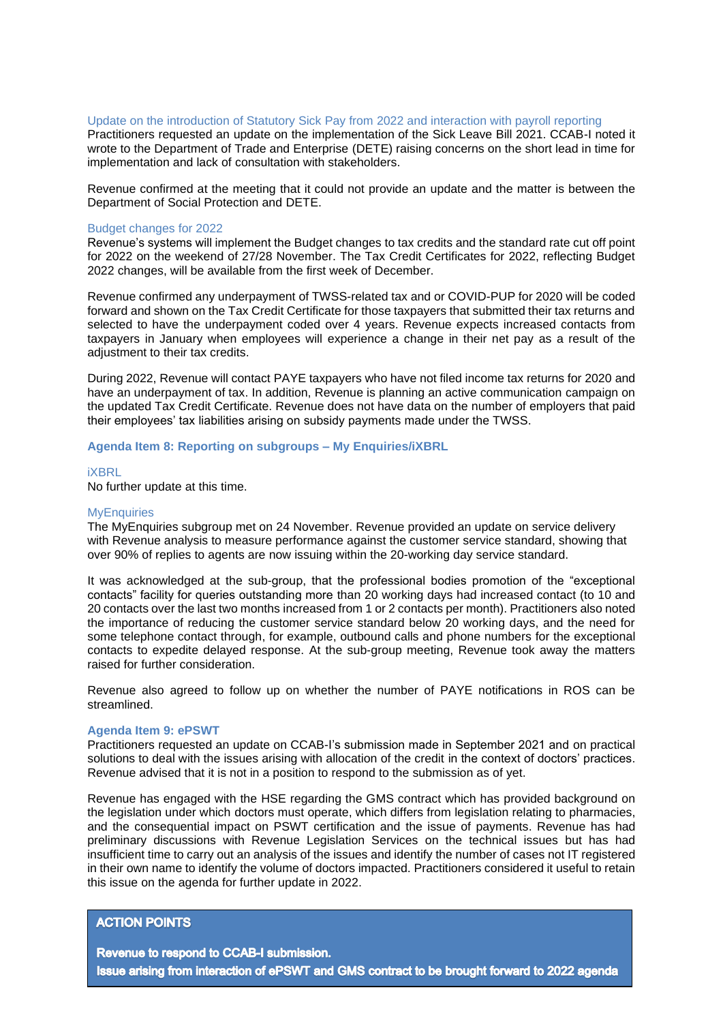#### Update on the introduction of Statutory Sick Pay from 2022 and interaction with payroll reporting

Practitioners requested an update on the implementation of the Sick Leave Bill 2021. CCAB-I noted it wrote to the Department of Trade and Enterprise (DETE) raising concerns on the short lead in time for implementation and lack of consultation with stakeholders.

Revenue confirmed at the meeting that it could not provide an update and the matter is between the Department of Social Protection and DETE.

#### Budget changes for 2022

Revenue's systems will implement the Budget changes to tax credits and the standard rate cut off point for 2022 on the weekend of 27/28 November. The Tax Credit Certificates for 2022, reflecting Budget 2022 changes, will be available from the first week of December.

Revenue confirmed any underpayment of TWSS-related tax and or COVID-PUP for 2020 will be coded forward and shown on the Tax Credit Certificate for those taxpayers that submitted their tax returns and selected to have the underpayment coded over 4 years. Revenue expects increased contacts from taxpayers in January when employees will experience a change in their net pay as a result of the adjustment to their tax credits.

During 2022, Revenue will contact PAYE taxpayers who have not filed income tax returns for 2020 and have an underpayment of tax. In addition, Revenue is planning an active communication campaign on the updated Tax Credit Certificate. Revenue does not have data on the number of employers that paid their employees' tax liabilities arising on subsidy payments made under the TWSS.

## **Agenda Item 8: Reporting on subgroups – My Enquiries/iXBRL**

#### iXBRL

No further update at this time.

#### **MyEnquiries**

The MyEnquiries subgroup met on 24 November. Revenue provided an update on service delivery with Revenue analysis to measure performance against the customer service standard, showing that over 90% of replies to agents are now issuing within the 20-working day service standard.

It was acknowledged at the sub-group, that the professional bodies promotion of the "exceptional contacts" facility for queries outstanding more than 20 working days had increased contact (to 10 and 20 contacts over the last two months increased from 1 or 2 contacts per month). Practitioners also noted the importance of reducing the customer service standard below 20 working days, and the need for some telephone contact through, for example, outbound calls and phone numbers for the exceptional contacts to expedite delayed response. At the sub-group meeting, Revenue took away the matters raised for further consideration.

Revenue also agreed to follow up on whether the number of PAYE notifications in ROS can be streamlined.

#### **Agenda Item 9: ePSWT**

Practitioners requested an update on CCAB-I's submission made in September 2021 and on practical solutions to deal with the issues arising with allocation of the credit in the context of doctors' practices. Revenue advised that it is not in a position to respond to the submission as of yet.

Revenue has engaged with the HSE regarding the GMS contract which has provided background on the legislation under which doctors must operate, which differs from legislation relating to pharmacies, and the consequential impact on PSWT certification and the issue of payments. Revenue has had preliminary discussions with Revenue Legislation Services on the technical issues but has had insufficient time to carry out an analysis of the issues and identify the number of cases not IT registered in their own name to identify the volume of doctors impacted. Practitioners considered it useful to retain this issue on the agenda for further update in 2022.

# **ACTION POINTS**

Revenue to respond to CCAB-I submission. Issue arising from interaction of ePSWT and GMS contract to be brought forward to 2022 agenda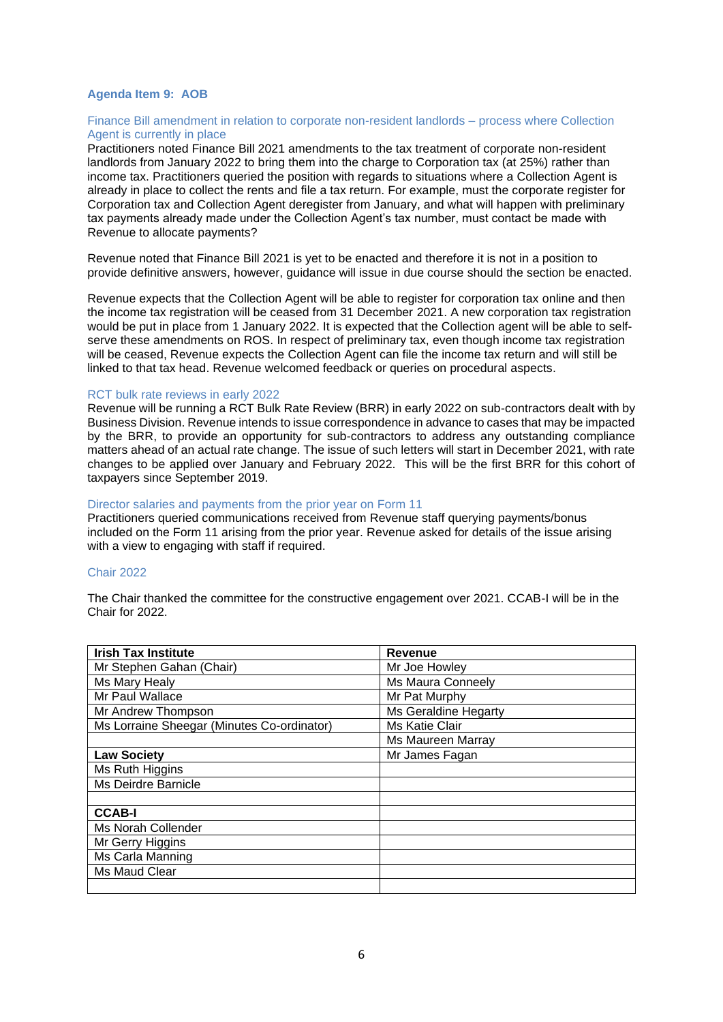## **Agenda Item 9: AOB**

## Finance Bill amendment in relation to corporate non-resident landlords – process where Collection Agent is currently in place

Practitioners noted Finance Bill 2021 amendments to the tax treatment of corporate non-resident landlords from January 2022 to bring them into the charge to Corporation tax (at 25%) rather than income tax. Practitioners queried the position with regards to situations where a Collection Agent is already in place to collect the rents and file a tax return. For example, must the corporate register for Corporation tax and Collection Agent deregister from January, and what will happen with preliminary tax payments already made under the Collection Agent's tax number, must contact be made with Revenue to allocate payments?

Revenue noted that Finance Bill 2021 is yet to be enacted and therefore it is not in a position to provide definitive answers, however, guidance will issue in due course should the section be enacted.

Revenue expects that the Collection Agent will be able to register for corporation tax online and then the income tax registration will be ceased from 31 December 2021. A new corporation tax registration would be put in place from 1 January 2022. It is expected that the Collection agent will be able to selfserve these amendments on ROS. In respect of preliminary tax, even though income tax registration will be ceased, Revenue expects the Collection Agent can file the income tax return and will still be linked to that tax head. Revenue welcomed feedback or queries on procedural aspects.

#### RCT bulk rate reviews in early 2022

Revenue will be running a RCT Bulk Rate Review (BRR) in early 2022 on sub-contractors dealt with by Business Division. Revenue intends to issue correspondence in advance to cases that may be impacted by the BRR, to provide an opportunity for sub-contractors to address any outstanding compliance matters ahead of an actual rate change. The issue of such letters will start in December 2021, with rate changes to be applied over January and February 2022. This will be the first BRR for this cohort of taxpayers since September 2019.

#### Director salaries and payments from the prior year on Form 11

Practitioners queried communications received from Revenue staff querying payments/bonus included on the Form 11 arising from the prior year. Revenue asked for details of the issue arising with a view to engaging with staff if required.

## Chair 2022

The Chair thanked the committee for the constructive engagement over 2021. CCAB-I will be in the Chair for 2022.

| <b>Irish Tax Institute</b>                 | <b>Revenue</b>       |
|--------------------------------------------|----------------------|
| Mr Stephen Gahan (Chair)                   | Mr Joe Howley        |
| Ms Mary Healy                              | Ms Maura Conneely    |
| Mr Paul Wallace                            | Mr Pat Murphy        |
| Mr Andrew Thompson                         | Ms Geraldine Hegarty |
| Ms Lorraine Sheegar (Minutes Co-ordinator) | Ms Katie Clair       |
|                                            | Ms Maureen Marray    |
| <b>Law Society</b>                         | Mr James Fagan       |
| Ms Ruth Higgins                            |                      |
| Ms Deirdre Barnicle                        |                      |
|                                            |                      |
| <b>CCAB-I</b>                              |                      |
| Ms Norah Collender                         |                      |
| Mr Gerry Higgins                           |                      |
| Ms Carla Manning                           |                      |
| Ms Maud Clear                              |                      |
|                                            |                      |